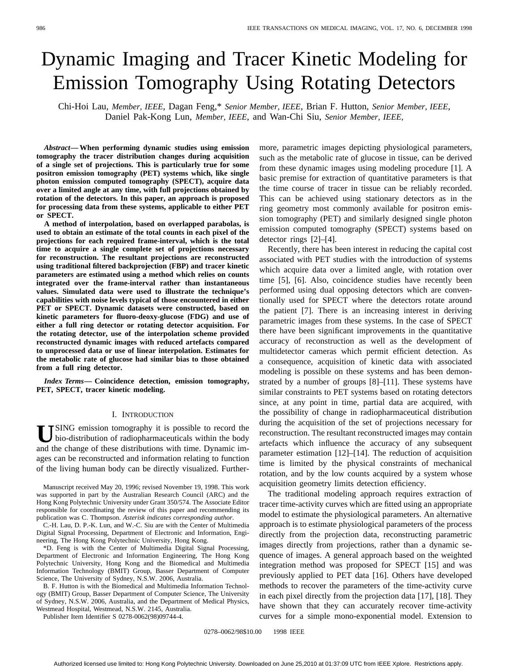# Dynamic Imaging and Tracer Kinetic Modeling for Emission Tomography Using Rotating Detectors

Chi-Hoi Lau, *Member, IEEE*, Dagan Feng,\* *Senior Member, IEEE*, Brian F. Hutton, *Senior Member, IEEE*, Daniel Pak-Kong Lun, *Member, IEEE*, and Wan-Chi Siu, *Senior Member, IEEE,*

*Abstract—* **When performing dynamic studies using emission tomography the tracer distribution changes during acquisition of a single set of projections. This is particularly true for some positron emission tomography (PET) systems which, like single photon emission computed tomography (SPECT), acquire data over a limited angle at any time, with full projections obtained by rotation of the detectors. In this paper, an approach is proposed for processing data from these systems, applicable to either PET or SPECT.**

**A method of interpolation, based on overlapped parabolas, is used to obtain an estimate of the total counts in each pixel of the projections for each required frame-interval, which is the total time to acquire a single complete set of projections necessary for reconstruction. The resultant projections are reconstructed using traditional filtered backprojection (FBP) and tracer kinetic parameters are estimated using a method which relies on counts integrated over the frame-interval rather than instantaneous values. Simulated data were used to illustrate the technique's capabilities with noise levels typical of those encountered in either PET or SPECT. Dynamic datasets were constructed, based on kinetic parameters for fluoro-deoxy-glucose (FDG) and use of either a full ring detector or rotating detector acquisition. For the rotating detector, use of the interpolation scheme provided reconstructed dynamic images with reduced artefacts compared to unprocessed data or use of linear interpolation. Estimates for the metabolic rate of glucose had similar bias to those obtained from a full ring detector.**

*Index Terms—* **Coincidence detection, emission tomography, PET, SPECT, tracer kinetic modeling.**

#### I. INTRODUCTION

**I**SING emission tomography it is possible to record the bio-distribution of radiopharmaceuticals within the body and the change of these distributions with time. Dynamic images can be reconstructed and information relating to function of the living human body can be directly visualized. Further-

C.-H. Lau, D. P.-K. Lun, and W.-C. Siu are with the Center of Multimedia Digital Signal Processing, Department of Electronic and Information, Engineering, The Hong Kong Polytechnic University, Hong Kong.

\*D. Feng is with the Center of Multimedia Digital Signal Processing, Department of Electronic and Information Engineering, The Hong Kong Polytechnic University, Hong Kong and the Biomedical and Multimedia Information Technology (BMIT) Group, Basser Department of Computer Science, The University of Sydney, N.S.W. 2006, Australia.

B. F. Hutton is with the Biomedical and Multimedia Information Technology (BMIT) Group, Basser Department of Computer Science, The University of Sydney, N.S.W. 2006, Australia, and the Department of Medical Physics, Westmead Hospital, Westmead, N.S.W. 2145, Australia.

Publisher Item Identifier S 0278-0062(98)09744-4.

more, parametric images depicting physiological parameters, such as the metabolic rate of glucose in tissue, can be derived from these dynamic images using modeling procedure [1]. A basic premise for extraction of quantitative parameters is that the time course of tracer in tissue can be reliably recorded. This can be achieved using stationary detectors as in the ring geometry most commonly available for positron emission tomography (PET) and similarly designed single photon emission computed tomography (SPECT) systems based on detector rings [2]–[4].

Recently, there has been interest in reducing the capital cost associated with PET studies with the introduction of systems which acquire data over a limited angle, with rotation over time [5], [6]. Also, coincidence studies have recently been performed using dual opposing detectors which are conventionally used for SPECT where the detectors rotate around the patient [7]. There is an increasing interest in deriving parametric images from these systems. In the case of SPECT there have been significant improvements in the quantitative accuracy of reconstruction as well as the development of multidetector cameras which permit efficient detection. As a consequence, acquisition of kinetic data with associated modeling is possible on these systems and has been demonstrated by a number of groups [8]–[11]. These systems have similar constraints to PET systems based on rotating detectors since, at any point in time, partial data are acquired, with the possibility of change in radiopharmaceutical distribution during the acquisition of the set of projections necessary for reconstruction. The resultant reconstructed images may contain artefacts which influence the accuracy of any subsequent parameter estimation [12]–[14]. The reduction of acquisition time is limited by the physical constraints of mechanical rotation, and by the low counts acquired by a system whose acquisition geometry limits detection efficiency.

The traditional modeling approach requires extraction of tracer time-activity curves which are fitted using an appropriate model to estimate the physiological parameters. An alternative approach is to estimate physiological parameters of the process directly from the projection data, reconstructing parametric images directly from projections, rather than a dynamic sequence of images. A general approach based on the weighted integration method was proposed for SPECT [15] and was previously applied to PET data [16]. Others have developed methods to recover the parameters of the time-activity curve in each pixel directly from the projection data [17], [18]. They have shown that they can accurately recover time-activity curves for a simple mono-exponential model. Extension to

0278-0062/98\$10.00 © 1998 IEEE

Manuscript received May 20, 1996; revised November 19, 1998. This work was supported in part by the Australian Research Council (ARC) and the Hong Kong Polytechnic University under Grant 350/574. The Associate Editor responsible for coordinating the review of this paper and recommending its publication was C. Thompson. *Asterisk indicates corresponding author.*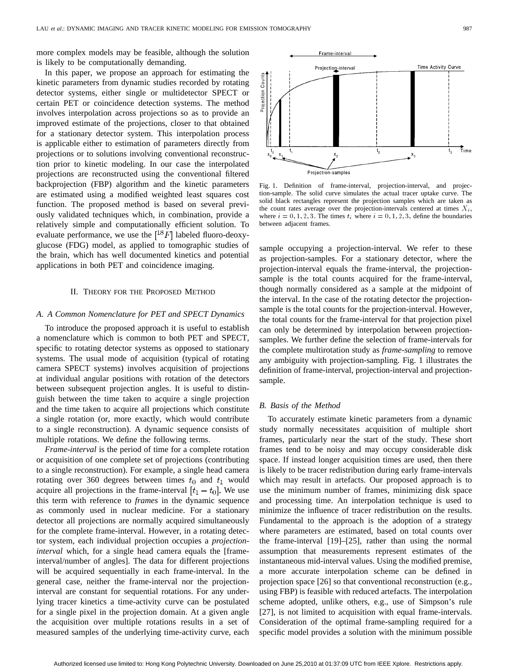more complex models may be feasible, although the solution is likely to be computationally demanding.

In this paper, we propose an approach for estimating the kinetic parameters from dynamic studies recorded by rotating detector systems, either single or multidetector SPECT or certain PET or coincidence detection systems. The method involves interpolation across projections so as to provide an improved estimate of the projections, closer to that obtained for a stationary detector system. This interpolation process is applicable either to estimation of parameters directly from projections or to solutions involving conventional reconstruction prior to kinetic modeling. In our case the interpolated projections are reconstructed using the conventional filtered backprojection (FBP) algorithm and the kinetic parameters are estimated using a modified weighted least squares cost function. The proposed method is based on several previously validated techniques which, in combination, provide a relatively simple and computationally efficient solution. To evaluate performance, we use the  $\lceil {^{18}F} \rceil$  labeled fluoro-deoxyglucose (FDG) model, as applied to tomographic studies of the brain, which has well documented kinetics and potential applications in both PET and coincidence imaging.

#### II. THEORY FOR THE PROPOSED METHOD

#### *A. A Common Nomenclature for PET and SPECT Dynamics*

To introduce the proposed approach it is useful to establish a nomenclature which is common to both PET and SPECT, specific to rotating detector systems as opposed to stationary systems. The usual mode of acquisition (typical of rotating camera SPECT systems) involves acquisition of projections at individual angular positions with rotation of the detectors between subsequent projection angles. It is useful to distinguish between the time taken to acquire a single projection and the time taken to acquire all projections which constitute a single rotation (or, more exactly, which would contribute to a single reconstruction). A dynamic sequence consists of multiple rotations. We define the following terms.

*Frame-interval* is the period of time for a complete rotation or acquisition of one complete set of projections (contributing to a single reconstruction). For example, a single head camera rotating over 360 degrees between times  $t_0$  and  $t_1$  would acquire all projections in the frame-interval  $[t_1 - t_0]$ . We use this term with reference to *frames* in the dynamic sequence as commonly used in nuclear medicine. For a stationary detector all projections are normally acquired simultaneously for the complete frame-interval. However, in a rotating detector system, each individual projection occupies a *projectioninterval* which, for a single head camera equals the [frameinterval/number of angles]. The data for different projections will be acquired sequentially in each frame-interval. In the general case, neither the frame-interval nor the projectioninterval are constant for sequential rotations. For any underlying tracer kinetics a time-activity curve can be postulated for a single pixel in the projection domain. At a given angle the acquisition over multiple rotations results in a set of measured samples of the underlying time-activity curve, each



Fig. 1. Definition of frame-interval, projection-interval, and projection-sample. The solid curve simulates the actual tracer uptake curve. The solid black rectangles represent the projection samples which are taken as the count rates average over the projection-intervals centered at times  $X_i$ , where  $i = 0, 1, 2, 3$ . The times  $t_i$  where  $i = 0, 1, 2, 3$ , define the boundaries between adjacent frames.

sample occupying a projection-interval. We refer to these as projection-samples. For a stationary detector, where the projection-interval equals the frame-interval, the projectionsample is the total counts acquired for the frame-interval, though normally considered as a sample at the midpoint of the interval. In the case of the rotating detector the projectionsample is the total counts for the projection-interval. However, the total counts for the frame-interval for that projection pixel can only be determined by interpolation between projectionsamples. We further define the selection of frame-intervals for the complete multirotation study as *frame-sampling* to remove any ambiguity with projection-sampling. Fig. 1 illustrates the definition of frame-interval, projection-interval and projectionsample.

# *B. Basis of the Method*

To accurately estimate kinetic parameters from a dynamic study normally necessitates acquisition of multiple short frames, particularly near the start of the study. These short frames tend to be noisy and may occupy considerable disk space. If instead longer acquisition times are used, then there is likely to be tracer redistribution during early frame-intervals which may result in artefacts. Our proposed approach is to use the minimum number of frames, minimizing disk space and processing time. An interpolation technique is used to minimize the influence of tracer redistribution on the results. Fundamental to the approach is the adoption of a strategy where parameters are estimated, based on total counts over the frame-interval [19]–[25], rather than using the normal assumption that measurements represent estimates of the instantaneous mid-interval values. Using the modified premise, a more accurate interpolation scheme can be defined in projection space [26] so that conventional reconstruction (e.g., using FBP) is feasible with reduced artefacts. The interpolation scheme adopted, unlike others, e.g., use of Simpson's rule [27], is not limited to acquisition with equal frame-intervals. Consideration of the optimal frame-sampling required for a specific model provides a solution with the minimum possible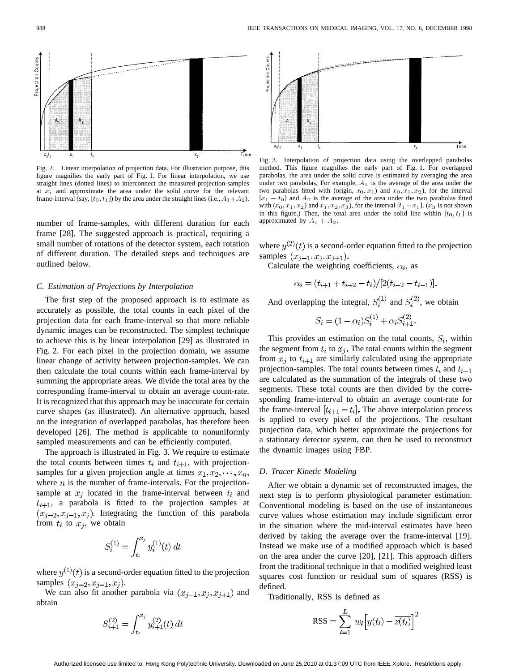

Fig. 2. Linear interpolation of projection data. For illustration purpose, this figure magnifies the early part of Fig. 1. For linear interpolation, we use straight lines (dotted lines) to interconnect the measured projection-samples at  $x_i$  and approximate the area under the solid curve for the relevant frame-interval (say,  $[t_0, t_1]$ ) by the area under the straight lines (i.e.,  $A_1 + A_2$ ).

number of frame-samples, with different duration for each frame [28]. The suggested approach is practical, requiring a small number of rotations of the detector system, each rotation of different duration. The detailed steps and techniques are outlined below.

## *C. Estimation of Projections by Interpolation*

The first step of the proposed approach is to estimate as accurately as possible, the total counts in each pixel of the projection data for each frame-interval so that more reliable dynamic images can be reconstructed. The simplest technique to achieve this is by linear interpolation [29] as illustrated in Fig. 2. For each pixel in the projection domain, we assume linear change of activity between projection-samples. We can then calculate the total counts within each frame-interval by summing the appropriate areas. We divide the total area by the corresponding frame-interval to obtain an average count-rate. It is recognized that this approach may be inaccurate for certain curve shapes (as illustrated). An alternative approach, based on the integration of overlapped parabolas, has therefore been developed [26]. The method is applicable to nonuniformly sampled measurements and can be efficiently computed.

The approach is illustrated in Fig. 3. We require to estimate the total counts between times  $t_i$  and  $t_{i+1}$ , with projectionsamples for a given projection angle at times  $x_1, x_2, \dots, x_n$ , where  $n$  is the number of frame-intervals. For the projectionsample at  $x_j$  located in the frame-interval between  $t_i$  and  $t_{i+1}$ , a parabola is fitted to the projection samples at  $(x_{j-2}, x_{j-1}, x_j)$ . Integrating the function of this parabola from  $t_i$  to  $x_j$ , we obtain

$$
S_i^{(1)} = \int_{t_i}^{x_j} y_i^{(1)}(t) \, dt
$$

where  $y^{(1)}(t)$  is a second-order equation fitted to the projection samples  $(x_{j-2}, x_{j-1}, x_j)$ .

We can also fit another parabola via  $(x_{i-1}, x_i, x_{i+1})$  and obtain

$$
S_{i+1}^{(2)} = \int_{t_i}^{x_j} y_{i+1}^{(2)}(t) dt
$$



Fig. 3. Interpolation of projection data using the overlapped parabolas method. This figure magnifies the early part of Fig. 1. For overlapped parabolas, the area under the solid curve is estimated by averaging the area under two parabolas, For example,  $A_1$  is the average of the area under the two parabolas fitted with (origin,  $x_0, x_1$ ) and  $x_0, x_1, x_2$ ), for the interval parabolas, the area under the solid curve is estimated by averaging the area<br>under two parabolas, For example,  $A_1$  is the average of the area under the<br>two parabolas fitted with (origin,  $x_0, x_1$ ) and  $x_0, x_1, x_2$ ), f under two parabolas, For example,  $A_1$  is the average of the area under the two parabolas fitted with (origin,  $x_0, x_1$ ) and  $x_0, x_1, x_2$ ), for the interval  $[x_1 - t_0]$  and  $A_2$  is the average of the area under the two in this figure.) Then, the total area under the solid line within  $[t_0, t_1]$  is approximated by  $A_1 + A_2$ .

where  $y^{(2)}(t)$  is a second-order equation fitted to the projection samples  $(x_{j-1}, x_j, x_{j+1})$ .

Calculate the weighting coefficients,  $\alpha_i$ , as

$$
\alpha_i = (t_{i+1} + t_{i+2} - t_i) / [2(t_{i+2} - t_{i-1})].
$$

And overlapping the integral,  $S_i^{(1)}$  and  $S_i^{(2)}$ , we obtain

 $S_i = (1 - \alpha_i)S_i^{(1)} + \alpha_i S_{i+1}^{(2)}$ .

This provides an estimation on the total counts,  $S_i$ , within the segment from  $t_i$  to  $x_j$ . The total counts within the segment from  $x_i$  to  $t_{i+1}$  are similarly calculated using the appropriate projection-samples. The total counts between times  $t_i$  and  $t_{i+1}$ are calculated as the summation of the integrals of these two segments. These total counts are then divided by the corresponding frame-interval to obtain an average count-rate for the frame-interval  $[t_{i+1} - t_i]$ . The above interpolation process is applied to every pixel of the projections. The resultant projection data, which better approximate the projections for a stationary detector system, can then be used to reconstruct the dynamic images using FBP.

## *D. Tracer Kinetic Modeling*

After we obtain a dynamic set of reconstructed images, the next step is to perform physiological parameter estimation. Conventional modeling is based on the use of instantaneous curve values whose estimation may include significant error in the situation where the mid-interval estimates have been derived by taking the average over the frame-interval [19]. Instead we make use of a modified approach which is based on the area under the curve [20], [21]. This approach differs from the traditional technique in that a modified weighted least squares cost function or residual sum of squares (RSS) is defined.

Traditionally, RSS is defined as

$$
RSS = \sum_{l=1}^{L} w_l \left[ y(t_l) - \overline{z(t_l)} \right]^2
$$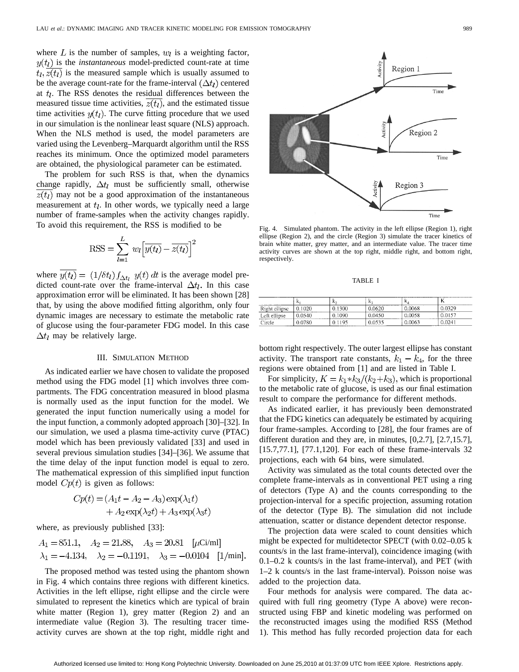where L is the number of samples,  $w_l$  is a weighting factor,  $y(t_i)$  is the *instantaneous* model-predicted count-rate at time  $t_i$ ,  $z(t_i)$  is the measured sample which is usually assumed to be the average count-rate for the frame-interval  $(\Delta t_i)$  centered at  $t_l$ . The RSS denotes the residual differences between the measured tissue time activities,  $z(t)$ , and the estimated tissue time activities  $y(t)$ . The curve fitting procedure that we used in our simulation is the nonlinear least square (NLS) approach. When the NLS method is used, the model parameters are varied using the Levenberg–Marquardt algorithm until the RSS reaches its minimum. Once the optimized model parameters are obtained, the physiological parameter can be estimated.

The problem for such RSS is that, when the dynamics change rapidly,  $\Delta t_l$  must be sufficiently small, otherwise  $z(t<sub>l</sub>)$  may not be a good approximation of the instantaneous measurement at  $t_l$ . In other words, we typically need a large number of frame-samples when the activity changes rapidly. To avoid this requirement, the RSS is modified to be

$$
RSS = \sum_{l=1}^{L} w_l \left[ \overline{y(t_l)} - \overline{z(t_l)} \right]^2
$$

where  $y(t_l) = (1/\delta t_l) \int_{\Delta t_l} y(t) dt$  is the average model predicted count-rate over the frame-interval  $\Delta t_l$ . In this case approximation error will be eliminated. It has been shown [28] that, by using the above modified fitting algorithm, only four dynamic images are necessary to estimate the metabolic rate of glucose using the four-parameter FDG model. In this case  $\Delta t_i$  may be relatively large.

#### III. SIMULATION METHOD

As indicated earlier we have chosen to validate the proposed method using the FDG model [1] which involves three compartments. The FDG concentration measured in blood plasma is normally used as the input function for the model. We generated the input function numerically using a model for the input function, a commonly adopted approach [30]–[32]. In our simulation, we used a plasma time-activity curve (PTAC) model which has been previously validated [33] and used in several previous simulation studies [34]–[36]. We assume that the time delay of the input function model is equal to zero. The mathematical expression of this simplified input function model  $Cp(t)$  is given as follows:

$$
Cp(t) = (A_1t - A_2 - A_3) \exp(\lambda_1 t)
$$

$$
+ A_2 \exp(\lambda_2 t) + A_3 \exp(\lambda_3 t)
$$

where, as previously published [33]:

$$
A_1 = 851.1
$$
,  $A_2 = 21.88$ ,  $A_3 = 20.81$  [ $\mu$ Ci/ml]  
 $\lambda_1 = -4.134$ ,  $\lambda_2 = -0.1191$ ,  $\lambda_3 = -0.0104$  [1/min].

The proposed method was tested using the phantom shown in Fig. 4 which contains three regions with different kinetics. Activities in the left ellipse, right ellipse and the circle were simulated to represent the kinetics which are typical of brain white matter (Region 1), grey matter (Region 2) and an intermediate value (Region 3). The resulting tracer timeactivity curves are shown at the top right, middle right and



Fig. 4. Simulated phantom. The activity in the left ellipse (Region 1), right ellipse (Region 2), and the circle (Region 3) simulate the tracer kinetics of brain white matter, grey matter, and an intermediate value. The tracer time activity curves are shown at the top right, middle right, and bottom right, respectively.

TABLE I

|                                  | $\mathbf{v}$                                 | ı<br>л. | $\mathbf{A}$ | в.,    |        |
|----------------------------------|----------------------------------------------|---------|--------------|--------|--------|
| Right ellipse                    | 1020                                         | 1300    | 0.0620       | 0.0068 | ገ በ329 |
| Left ellipse                     | 0.0540<br>THE R. P. LEWIS CO., LANSING MICH. | 0.1090  | 0.0450       | 0.0058 | 0.0157 |
| Circle<br><b>A CA BOX A CALL</b> | 0.0780                                       | 0.1195  |              | 0.0063 | 0.0241 |

bottom right respectively. The outer largest ellipse has constant activity. The transport rate constants,  $k_1 - k_4$ , for the three regions were obtained from [1] and are listed in Table I.

For simplicity,  $K = k_1 * k_3/(k_2 + k_3)$ , which is proportional to the metabolic rate of glucose, is used as our final estimation result to compare the performance for different methods.

As indicated earlier, it has previously been demonstrated that the FDG kinetics can adequately be estimated by acquiring four frame-samples. According to [28], the four frames are of different duration and they are, in minutes, [0,2.7], [2.7,15.7], [15.7,77.1], [77.1,120]. For each of these frame-intervals 32 projections, each with 64 bins, were simulated.

Activity was simulated as the total counts detected over the complete frame-intervals as in conventional PET using a ring of detectors (Type A) and the counts corresponding to the projection-interval for a specific projection, assuming rotation of the detector (Type B). The simulation did not include attenuation, scatter or distance dependent detector response.

The projection data were scaled to count densities which might be expected for multidetector SPECT (with 0.02–0.05 k counts/s in the last frame-interval), coincidence imaging (with 0.1–0.2 k counts/s in the last frame-interval), and PET (with 1–2 k counts/s in the last frame-interval). Poisson noise was added to the projection data.

Four methods for analysis were compared. The data acquired with full ring geometry (Type A above) were reconstructed using FBP and kinetic modeling was performed on the reconstructed images using the modified RSS (Method 1). This method has fully recorded projection data for each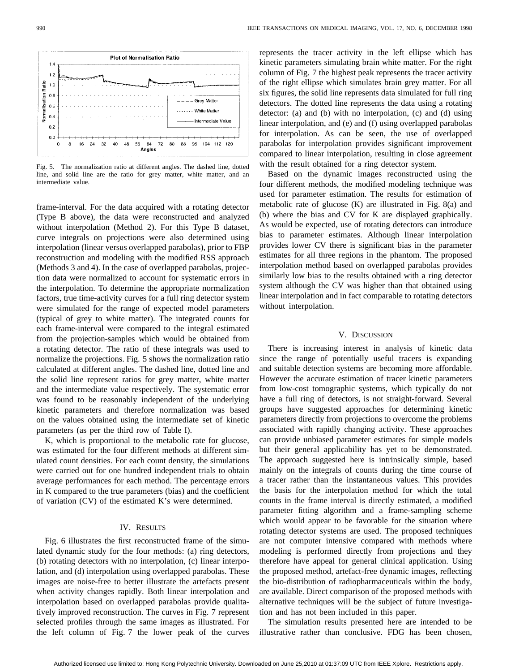

Fig. 5. The normalization ratio at different angles. The dashed line, dotted line, and solid line are the ratio for grey matter, white matter, and an intermediate value.

frame-interval. For the data acquired with a rotating detector (Type B above), the data were reconstructed and analyzed without interpolation (Method 2). For this Type B dataset, curve integrals on projections were also determined using interpolation (linear versus overlapped parabolas), prior to FBP reconstruction and modeling with the modified RSS approach (Methods 3 and 4). In the case of overlapped parabolas, projection data were normalized to account for systematic errors in the interpolation. To determine the appropriate normalization factors, true time-activity curves for a full ring detector system were simulated for the range of expected model parameters (typical of grey to white matter). The integrated counts for each frame-interval were compared to the integral estimated from the projection-samples which would be obtained from a rotating detector. The ratio of these integrals was used to normalize the projections. Fig. 5 shows the normalization ratio calculated at different angles. The dashed line, dotted line and the solid line represent ratios for grey matter, white matter and the intermediate value respectively. The systematic error was found to be reasonably independent of the underlying kinetic parameters and therefore normalization was based on the values obtained using the intermediate set of kinetic parameters (as per the third row of Table I).

K, which is proportional to the metabolic rate for glucose, was estimated for the four different methods at different simulated count densities. For each count density, the simulations were carried out for one hundred independent trials to obtain average performances for each method. The percentage errors in K compared to the true parameters (bias) and the coefficient of variation (CV) of the estimated K's were determined.

# IV. RESULTS

Fig. 6 illustrates the first reconstructed frame of the simulated dynamic study for the four methods: (a) ring detectors, (b) rotating detectors with no interpolation, (c) linear interpolation, and (d) interpolation using overlapped parabolas. These images are noise-free to better illustrate the artefacts present when activity changes rapidly. Both linear interpolation and interpolation based on overlapped parabolas provide qualitatively improved reconstruction. The curves in Fig. 7 represent selected profiles through the same images as illustrated. For the left column of Fig. 7 the lower peak of the curves

represents the tracer activity in the left ellipse which has kinetic parameters simulating brain white matter. For the right column of Fig. 7 the highest peak represents the tracer activity of the right ellipse which simulates brain grey matter. For all six figures, the solid line represents data simulated for full ring detectors. The dotted line represents the data using a rotating detector: (a) and (b) with no interpolation, (c) and (d) using linear interpolation, and (e) and (f) using overlapped parabolas for interpolation. As can be seen, the use of overlapped parabolas for interpolation provides significant improvement compared to linear interpolation, resulting in close agreement with the result obtained for a ring detector system.

Based on the dynamic images reconstructed using the four different methods, the modified modeling technique was used for parameter estimation. The results for estimation of metabolic rate of glucose (K) are illustrated in Fig. 8(a) and (b) where the bias and CV for K are displayed graphically. As would be expected, use of rotating detectors can introduce bias to parameter estimates. Although linear interpolation provides lower CV there is significant bias in the parameter estimates for all three regions in the phantom. The proposed interpolation method based on overlapped parabolas provides similarly low bias to the results obtained with a ring detector system although the CV was higher than that obtained using linear interpolation and in fact comparable to rotating detectors without interpolation.

## V. DISCUSSION

There is increasing interest in analysis of kinetic data since the range of potentially useful tracers is expanding and suitable detection systems are becoming more affordable. However the accurate estimation of tracer kinetic parameters from low-cost tomographic systems, which typically do not have a full ring of detectors, is not straight-forward. Several groups have suggested approaches for determining kinetic parameters directly from projections to overcome the problems associated with rapidly changing activity. These approaches can provide unbiased parameter estimates for simple models but their general applicability has yet to be demonstrated. The approach suggested here is intrinsically simple, based mainly on the integrals of counts during the time course of a tracer rather than the instantaneous values. This provides the basis for the interpolation method for which the total counts in the frame interval is directly estimated, a modified parameter fitting algorithm and a frame-sampling scheme which would appear to be favorable for the situation where rotating detector systems are used. The proposed techniques are not computer intensive compared with methods where modeling is performed directly from projections and they therefore have appeal for general clinical application. Using the proposed method, artefact-free dynamic images, reflecting the bio-distribution of radiopharmaceuticals within the body, are available. Direct comparison of the proposed methods with alternative techniques will be the subject of future investigation and has not been included in this paper.

The simulation results presented here are intended to be illustrative rather than conclusive. FDG has been chosen,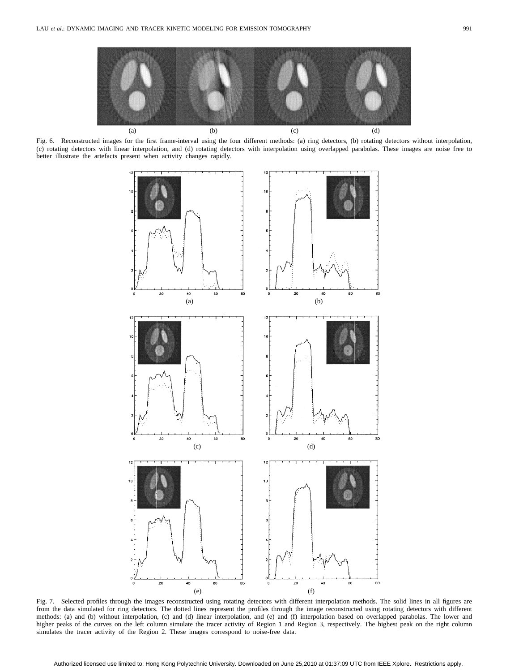

Fig. 6. Reconstructed images for the first frame-interval using the four different methods: (a) ring detectors, (b) rotating detectors without interpolation, (c) rotating detectors with linear interpolation, and (d) rotating detectors with interpolation using overlapped parabolas. These images are noise free to better illustrate the artefacts present when activity changes rapidly.



Fig. 7. Selected profiles through the images reconstructed using rotating detectors with different interpolation methods. The solid lines in all figures are from the data simulated for ring detectors. The dotted lines represent the profiles through the image reconstructed using rotating detectors with different methods: (a) and (b) without interpolation, (c) and (d) linear interpolation, and (e) and (f) interpolation based on overlapped parabolas. The lower and higher peaks of the curves on the left column simulate the tracer activity of Region 1 and Region 3, respectively. The highest peak on the right column simulates the tracer activity of the Region 2. These images correspond to noise-free data.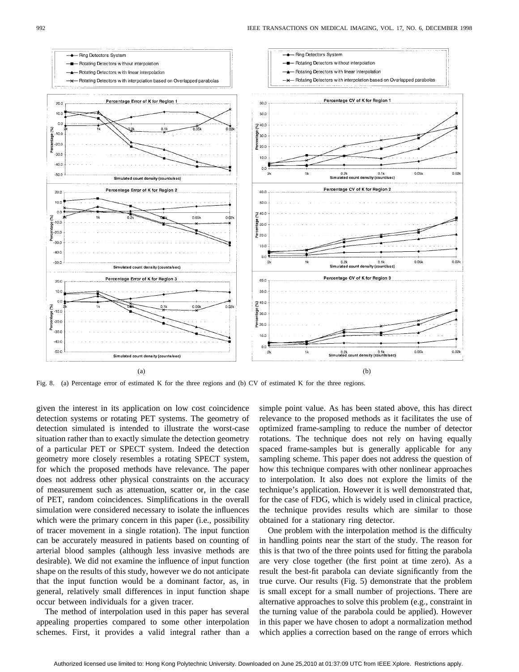

Fig. 8. (a) Percentage error of estimated K for the three regions and (b) CV of estimated K for the three regions.

given the interest in its application on low cost coincidence detection systems or rotating PET systems. The geometry of detection simulated is intended to illustrate the worst-case situation rather than to exactly simulate the detection geometry of a particular PET or SPECT system. Indeed the detection geometry more closely resembles a rotating SPECT system, for which the proposed methods have relevance. The paper does not address other physical constraints on the accuracy of measurement such as attenuation, scatter or, in the case of PET, random coincidences. Simplifications in the overall simulation were considered necessary to isolate the influences which were the primary concern in this paper (i.e., possibility of tracer movement in a single rotation). The input function can be accurately measured in patients based on counting of arterial blood samples (although less invasive methods are desirable). We did not examine the influence of input function shape on the results of this study, however we do not anticipate that the input function would be a dominant factor, as, in general, relatively small differences in input function shape occur between individuals for a given tracer.

The method of interpolation used in this paper has several appealing properties compared to some other interpolation schemes. First, it provides a valid integral rather than a simple point value. As has been stated above, this has direct relevance to the proposed methods as it facilitates the use of optimized frame-sampling to reduce the number of detector rotations. The technique does not rely on having equally spaced frame-samples but is generally applicable for any sampling scheme. This paper does not address the question of how this technique compares with other nonlinear approaches to interpolation. It also does not explore the limits of the technique's application. However it is well demonstrated that, for the case of FDG, which is widely used in clinical practice, the technique provides results which are similar to those obtained for a stationary ring detector.

One problem with the interpolation method is the difficulty in handling points near the start of the study. The reason for this is that two of the three points used for fitting the parabola are very close together (the first point at time zero). As a result the best-fit parabola can deviate significantly from the true curve. Our results (Fig. 5) demonstrate that the problem is small except for a small number of projections. There are alternative approaches to solve this problem (e.g., constraint in the turning value of the parabola could be applied). However in this paper we have chosen to adopt a normalization method which applies a correction based on the range of errors which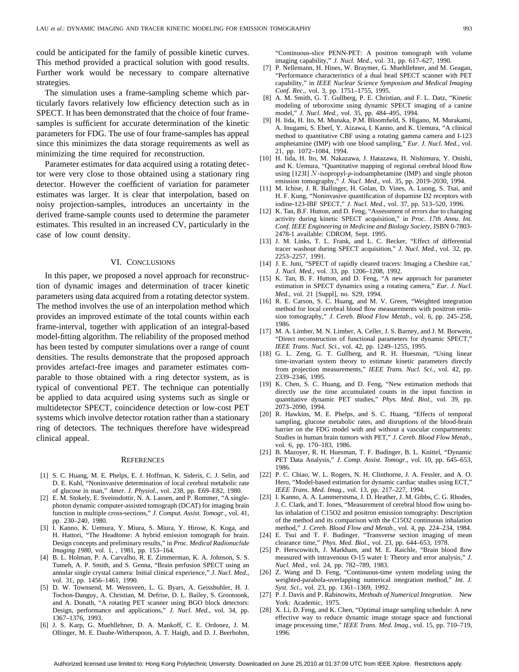could be anticipated for the family of possible kinetic curves. This method provided a practical solution with good results. Further work would be necessary to compare alternative strategies.

The simulation uses a frame-sampling scheme which particularly favors relatively low efficiency detection such as in SPECT. It has been demonstrated that the choice of four framesamples is sufficient for accurate determination of the kinetic parameters for FDG. The use of four frame-samples has appeal since this minimizes the data storage requirements as well as minimizing the time required for reconstruction.

Parameter estimates for data acquired using a rotating detector were very close to those obtained using a stationary ring detector. However the coefficient of variation for parameter estimates was larger. It is clear that interpolation, based on noisy projection-samples, introduces an uncertainty in the derived frame-sample counts used to determine the parameter estimates. This resulted in an increased CV, particularly in the case of low count density.

#### VI. CONCLUSIONS

In this paper, we proposed a novel approach for reconstruction of dynamic images and determination of tracer kinetic parameters using data acquired from a rotating detector system. The method involves the use of an interpolation method which provides an improved estimate of the total counts within each frame-interval, together with application of an integral-based model-fitting algorithm. The reliability of the proposed method has been tested by computer simulations over a range of count densities. The results demonstrate that the proposed approach provides artefact-free images and parameter estimates comparable to those obtained with a ring detector system, as is typical of conventional PET. The technique can potentially be applied to data acquired using systems such as single or multidetector SPECT, coincidence detection or low-cost PET systems which involve detector rotation rather than a stationary ring of detectors. The techniques therefore have widespread clinical appeal.

#### **REFERENCES**

- [1] S. C. Huang, M. E. Phelps, E. J. Hoffman, K. Sideris, C. J. Selin, and D. E. Kuhl, "Noninvasive determination of local cerebral metabolic rate of glucose in man," *Amer. J. Physiol.*, vol. 238, pp. E69–E82, 1980.
- [2] E. M. Stokely, E. Sveinsdottir, N. A. Lassen, and P. Rommer, "A singlephoton dynamic computer-assisted tomograph (DCAT) for imaging brain function in multiple cross-sections," *J. Comput. Assist. Tomogr.*, vol. 41, pp. 230–240, 1980.
- [3] I. Kanno, K. Uemura, Y. Miura, S. Miura, Y. Hirose, K. Koga, and H. Hattori, "The Headtome: A hybrid emission tomograph for brain. Design concepts and preliminary results," in *Proc. Medical Radionuclide Imaging 1980*, vol. 1, , 1981, pp. 153–164.
- [4] B. L. Holman, P. A. Carvalho, R. E. Zimmerman, K. A. Johnson, S. S. Tumeh, A. P. Smith, and S. Genna, "Brain perfusion SPECT using an annular single crystal camera: Initial clinical experience," *J. Nucl. Med.*, vol. 31, pp. 1456–1461, 1990.
- [5] D. W. Townsend, M. Wensveen, L. G. Byars, A. Geissbuhler, H. J. Tochon-Danguy, A. Christian, M. Defrise, D. L. Bailey, S. Grootoonk, and A. Donath, "A rotating PET scanner using BGO block detectors: Design, performance and applications," *J. Nucl. Med.*, vol. 34, pp. 1367–1376, 1993.
- [6] J. S. Karp, G. Muehllehner, D. A. Mankoff, C. E. Ordonez, J. M. Ollinger, M. E. Daube-Witherspoon, A. T. Haigh, and D. J. Beerbohm,

"Continuous-slice PENN-PET: A positron tomograph with volume imaging capability," *J. Nucl. Med.*, vol. 31, pp. 617–627, 1990.

- [7] P. Nellemann, H. Hines, W. Braymer, G. Muehllehner, and M. Geagan, "Performance characteristics of a dual head SPECT scanner with PET capability," in *IEEE Nuclear Science Symposium and Medical Imaging Conf. Rec.*, vol. 3, pp. 1751–1755, 1995.
- [8] A. M. Smith, G. T. Gullberg, P. E. Christian, and F. L. Datz, "Kinetic modeling of teboroxime using dynamic SPECT imaging of a canine model," *J. Nucl. Med.*, vol. 35, pp. 484–495, 1994.
- [9] H. Iida, H. Ito, M. Munaka, P.M. Bloomfield, S. Higano, M. Murakami, A. Inugami, S. Eberl, Y. Aizawa, I. Kanno, and K. Uemura, "A clinical method to quantitative CBF using a rotating gamma camera and I-123 amphetamine (IMP) with one blood sampling," *Eur. J. Nucl. Med.*, vol. 21, pp. 1072–1084, 1994.
- [10] H. Iida, H. Ito, M. Nakazawa, J. Hatazawa, H. Nishimura, Y. Onishi, and K. Uemura, "Quantitative mapping of regional cerebral blood flow using  $[1231]$  N-isopropyl- $p$ -iodoamphetamine (IMP) and single photon emission tomography," *J. Nucl. Med.*, vol. 35, pp. 2019–2030, 1994.
- [11] M. Ichise, J. R. Ballinger, H. Golan, D. Vines, A. Luong, S. Tsai, and H. F. Kung, "Noninvasive quantification of dopamine D2 receptors with iodine-123-IBF SPECT," *J. Nucl. Med.*, vol. 37, pp. 513–520, 1996.
- [12] K. Tan, B.F. Hutton, and D. Feng, "Assessment of errors due to changing activity during kinetic SPECT acquisition," in *Proc. 17th Annu. Int. Conf. IEEE Engineering in Medicine and Biology Society*, ISBN 0-7803- 2478-1 available: CDROM, Sept. 1995.
- [13] J. M. Links, T. L. Frank, and L. C. Becker, "Effect of differential tracer washout during SPECT acquisition," *J. Nucl. Med.*, vol. 32, pp. 2253–2257, 1991.
- [14] J. E. Juni, "SPECT of rapidly cleared tracers: Imaging a Cheshire cat,' *J. Nucl. Med.*, vol. 33, pp. 1206–1208, 1992.
- [15] K. Tan, B. F. Hutton, and D. Feng, "A new approach for parameter estimation in SPECT dynamics using a rotating camera," *Eur. J. Nucl. Med.*, vol. 21 [Suppl], no. S29, 1994.
- [16] R. E. Carson, S. C. Huang, and M. V. Green, "Weighted integration method for local cerebral blood flow measurements with positron emission tomography," *J. Cereb. Blood Flow Metab.*, vol. 6, pp. 245–258, 1986.
- [17] M. A. Limber, M. N. Limber, A. Celler, J. S. Barney, and J. M. Borwein, "Direct reconstruction of functional parameters for dynamic SPECT," *IEEE Trans. Nucl. Sci.*, vol. 42, pp. 1249–1255, 1995.
- [18] G. L. Zeng, G. T. Gullberg, and R. H. Huesman, "Using linear time-invariant system theory to estimate kinetic parameters directly from projection measurements," *IEEE Trans. Nucl. Sci.*, vol. 42, pp. 2339–2346, 1995.
- [19] K. Chen, S. C. Huang, and D. Feng, "New estimation methods that directly use the time accumulated counts in the input function in quantitative dynamic PET studies," *Phys. Med. Biol.*, vol. 39, pp. 2073–2090, 1994.
- [20] R. Hawkins, M. E. Phelps, and S. C. Huang, "Effects of temporal sampling, glucose metabolic rates, and disruptions of the blood-brain barrier on the FDG model with and without a vascular compartments: Studies in human brain tumors with PET," *J. Cereb. Blood Flow Metab.*, vol. 6, pp. 170–183, 1986.
- [21] B. Mazoyer, R. H. Huesman, T. F. Budinger, B. L. Knittel, "Dynamic PET Data Analysis," *J. Comp. Assist. Tomogr.*, vol. 10, pp. 645–653, 1986.
- [22] P. C. Chiao, W. L. Rogers, N. H. Clinthorne, J. A. Fessler, and A. O. Hero, "Model-based estimation for dynamic cardiac studies using ECT," *IEEE Trans. Med. Imag.*, vol. 13, pp. 217–227, 1994.
- [23] I. Kanno, A. A. Lammerstsma, J. D. Heather, J. M. Gibbs, C. G. Rhodes, J. C. Clark, and T. Jones, "Measurement of cerebral blood flow using bolus inhalation of C15O2 and positron emission tomography: Description of the method and its comparison with the C15O2 continuous inhalation method," *J. Cereb. Blood Flow and Metab.*, vol. 4, pp. 224–234, 1984.
- [24] E. Tsui and T. F. Budinger, "Transverse section imaging of mean clearance time," *Phys. Med. Biol.*, vol. 23, pp. 644–653, 1978.
- [25] P. Herscowitch, J. Markham, and M. E. Raichle, "Brain blood flow measured with intravenous O-15 water I: Theory and error analysis," *J. Nucl. Med.*, vol. 24, pp. 782–789, 1983.
- [26] Z. Wang and D. Feng, "Continuous-time system modeling using the weighted-parabola-overlapping numerical integration method," *Int. J. Syst. Sci.*, vol. 23, pp. 1361–1369, 1992.
- [27] P. J. Davis and P. Rabinowits, *Methods of Numerical Integration*. New York: Academic, 1975.
- [28] X. Li, D. Feng, and K. Chen, "Optimal image sampling schedule: A new effective way to reduce dynamic image storage space and functional image processing time," *IEEE Trans. Med. Imag.*, vol. 15, pp. 710–719, 1996.